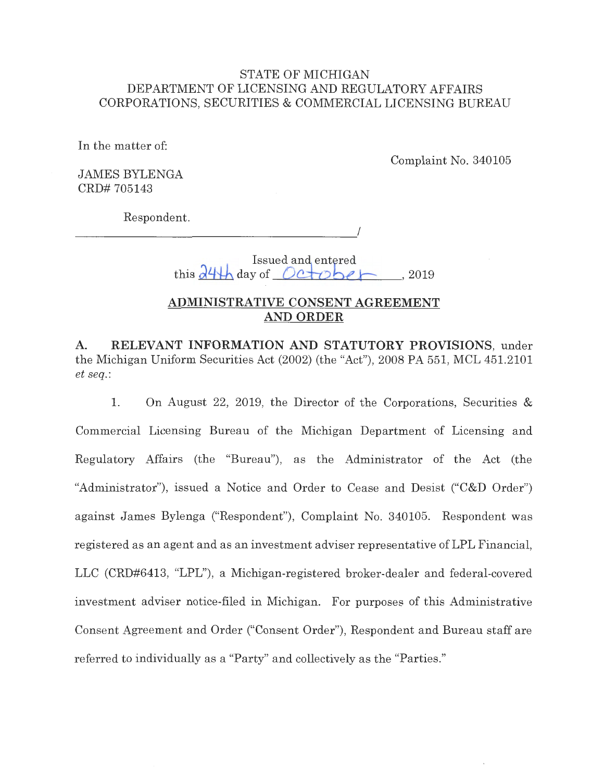## STATE OF MICHIGAN DEPARTMENT OF LICENSING AND REGULATORY AFFAIRS CORPORATIONS, SECURITIES & COMMERCIAL LICENSING BUREAU

In the matter of:

Complaint No. 340105

JAMES BYLENGA CRD# 705143

Respondent.

 $\overline{\phantom{a}}$ 

Issued and entered this  $\partial^2 \psi$  day of  $Det$ , 2019

## **ADMINISTRATIVE CONSENT AGREEMENT AND ORDER**

**A. RELEVANT INFORMATION AND STATUTORY PROVISIONS,** under the Michigan Uniform Securities Act (2002) (the "Act"), 2008 PA 551, MCL 451.2101 *et seq.:* 

1. On August 22, 2019, the Director of the Corporations, Securities & Commercial Licensing Bureau of the Michigan Department of Licensing and Regulatory Affairs (the "Bureau"), as the Administrator of the Act (the "Administrator"), issued a Notice and Order to Cease and Desist ("C&D Order") against James Bylenga ("Respondent"), Complaint No. 340105. Respondent was registered as an agent and as an investment adviser representative of **LPL** Financial, LLC (CRD#6413, "LPL"), a Michigan-registered broker-dealer and federal-covered investment adviser notice-filed in Michigan. For purposes of this Administrative Consent Agreement and Order ("Consent Order"), Respondent and Bureau staff are referred to individually as a "Party" and collectively as the "Parties."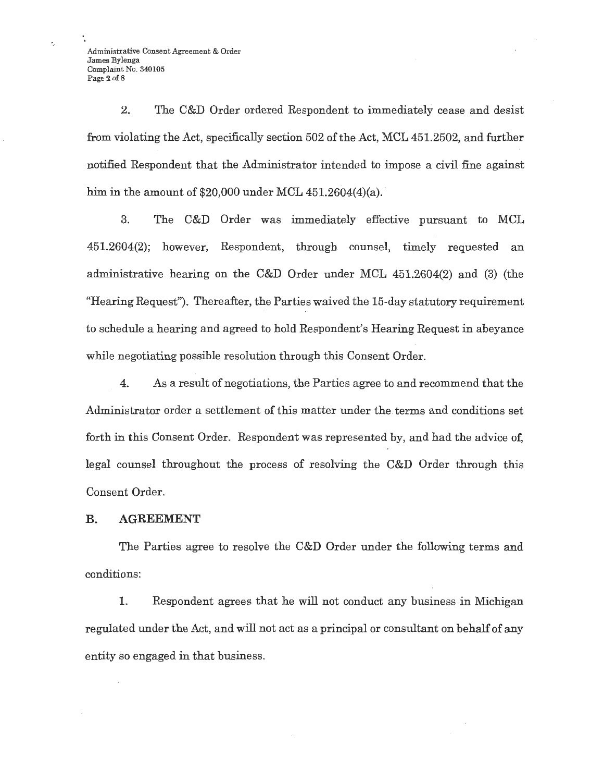Administrative Consent Agreement & Order James Bylenga Complaint No\_ 340105 Page 2 of 8

Ł,

2. The C&D Order ordered Respondent to immediately cease and desist from violating the Act, specifically section 502 of the Act, MCL 451.2502, and further notified Respondent that the Administrator intended to impose a civil fine against him in the amount of  $$20,000$  under MCL  $451.2604(4)(a)$ .

3. The C&D Order was immediately effective pursuant to MCL 451.2604(2); however, Respondent, through counsel, timely requested an administrative hearing on the C&D Order under MCL 451.2604(2) and (3) (the "Hearing Request"). Thereafter, the Parties waived the 15-day statutory requirement to schedule a hearing and agreed to hold Respondent's Hearing Request in abeyance while negotiating possible resolution through this Consent Order.

4. As a result of negotiations, the Parties agree to and recommend that the Administrator order a settlement of this matter under the terms and conditions set forth in this Consent Order. Respondent was represented by, and had the advice of, legal counsel throughout the process of resolving the C&D Order through this Consent Order.

#### **B. AGREEMENT**

The Parties agree to resolve the C&D Order under the following terms and conditions:

1. Respondent agrees that he will not conduct any business in Michigan regulated under the Act, and will not act as a principal or consultant on behalf of any entity so engaged in that business.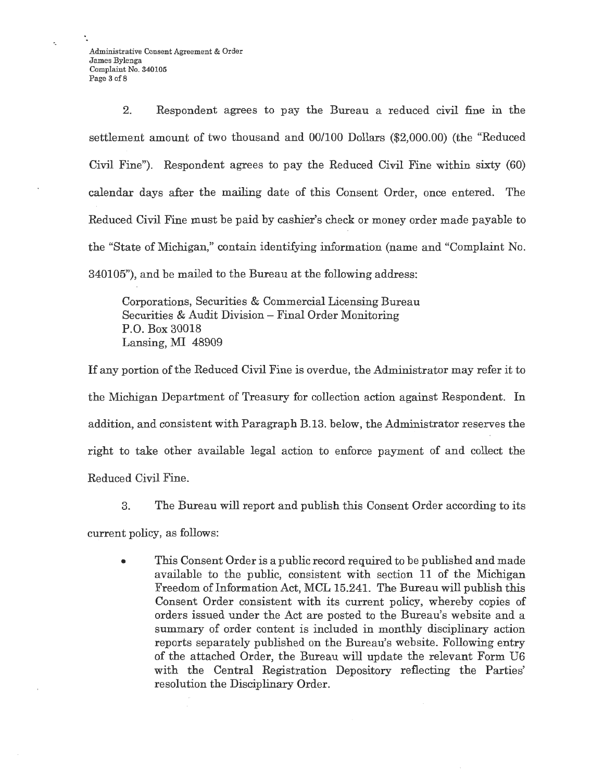Administrative Consent Agreement & Order James Bylenga Complaint No. 340105 Page 3 of 8

2. Respondent agrees to pay the Bureau a reduced civil fine in the settlement amount of two thousand and 00/100 Dollars (\$2,000.00) (the "Reduced Civil Fine"). Respondent agrees to pay the Reduced Civil Fine within sixty (60) calendar days after the mailing date of this Consent Order, once entered. The Reduced Civil Fine must be paid by cashier's check or money order made payable to the "State of Michigan," contain identifying information (name and "Complaint No. 340105"), and be mailed to the Bureau at the following address:

Corporations, Securities & Commercial Licensing Bureau Securities & Audit Division - Final Order Monitoring P.O. Box 30018 Lansing, MI 48909

If any portion of the Reduced Civil Fine is overdue, the Administrator may refer it to the Michigan Department of Treasury for collection action against Respondent. In addition, and consistent with Paragraph B.13. below, the Administrator reserves the right to take other available legal action to enforce payment of and collect the Reduced Civil Fine.

3. The Bureau will report and publish this Consent Order according to its

current policy, as follows:

• This Consent Order is a public record required to be published and made available to the public, consistent with section 11 of the Michigan Freedom of Information Act, MCL 15.241. The Bureau will publish this Consent Order consistent with its current policy, whereby copies of orders issued under the Act are posted to the Bureau's website and a summary of order content is included in monthly disciplinary action reports separately published on the Bureau's website. Following entry of the attached Order, the Bureau will update the relevant Form U6 with the Central Registration Depository reflecting the Parties' resolution the Disciplinary Order.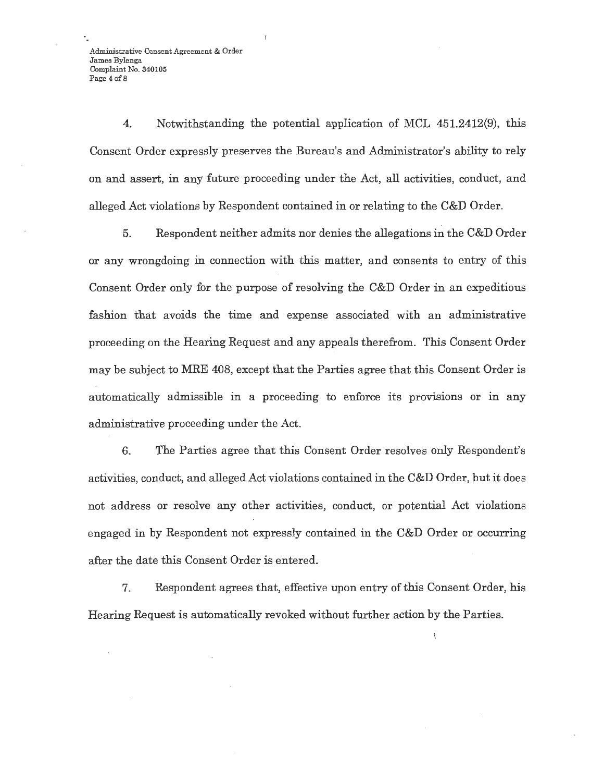Administrative Consent Agreement & Order James Bylenga Complaint No. 340105 Page 4 of 8

4. Notwithstanding the potential application of MCL 451.2412(9), this Consent Order expressly preserves the Bureau's and Administrator's ability to rely on and assert, in any future proceeding under the Act, all activities, conduct, and alleged Act violations by Respondent contained in or relating to the C&D Order.

5. Respondent neither admits nor denies the allegations in the C&D Order or any wrongdoing in connection with this matter, and consents to entry of this Consent Order only for the purpose of resolving the C&D Order in an expeditious fashion that avoids the time and expense associated with an administrative proceeding on the Hearing Request and any appeals therefrom. This Consent Order may be subject to MRE 408, except that the Parties agree that this Consent Order is automatically admissible in a proceeding to enforce its provisions or in any administrative proceeding under the Act.

6. The Parties agree that this Consent Order resolves only Respondent's activities, conduct, and alleged Act violations contained in the C&D Order, but it does not address or resolve any other activities, conduct, or potential Act violations engaged in by Respondent not expressly contained in the C&D Order or occurring after the date this Consent Order is entered.

7. Respondent agrees that, effective upon entry of this Consent Order, his Hearing Request is automatically revoked without further action by the Parties.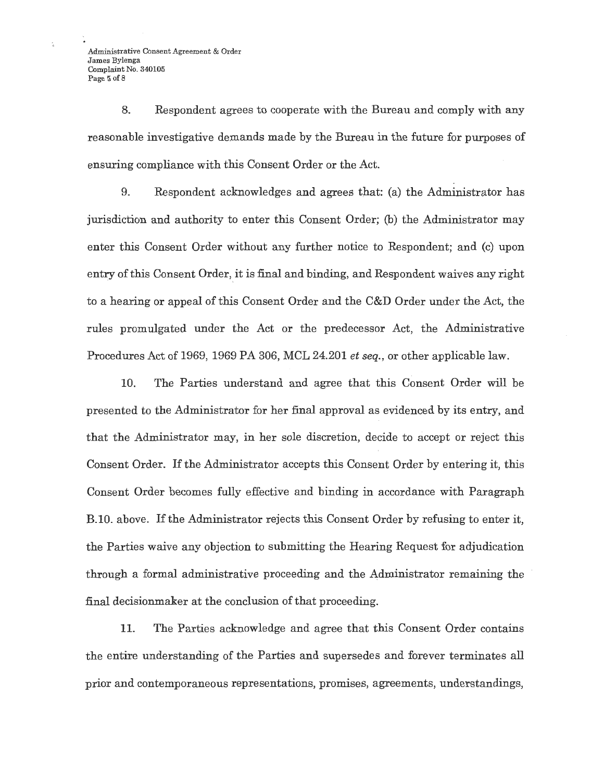Administrative Consent Agreement & Order James Bylenga Complaint No. 340105 Page 5 of 8

8. Respondent agrees to cooperate with the Bureau and comply with any reasonable investigative demands made by the Bureau in the future for purposes of ensuring compliance with this Consent Order or the Act.

9. Respondent acknowledges and agrees that: (a) the Administrator has jurisdiction and authority to enter this Consent Order; (b) the Administrator may enter this Consent Order without any further notice to Respondent; and (c) upon entry of this Consent Order, it is final and binding, and Respondent waives any right . ' to a hearing or appeal of this Consent Order and the C&D Order under the Act, the rules promulgated under the Act or the predecessor Act, the Administrative Procedures Act of 1969, 1969 PA 306, MCL 24.201 *et seq.,* or other applicable law.

10. The Parties understand and agree that this Consent Order will be presented to the Administrator for her final approval as evidenced by its entry, and that the Administrator may, in her sole discretion, decide to accept or reject this Consent Order. If the Administrator accepts this Consent Order by entering it, this Consent Order becomes fully effective and binding in accordance with Paragraph B.10. above. If the Administrator rejects this Consent Order by refusing to enter it, the Parties waive any objection to submitting the Hearing Request for adjudication through a formal administrative proceeding and the Administrator remaining the final decision maker at the conclusion of that proceeding.

11. The Parties acknowledge and agree that this Consent Order contains the entire understanding of the Parties and supersedes and forever terminates all prior and contemporaneous representations, promises, agreements, understandings,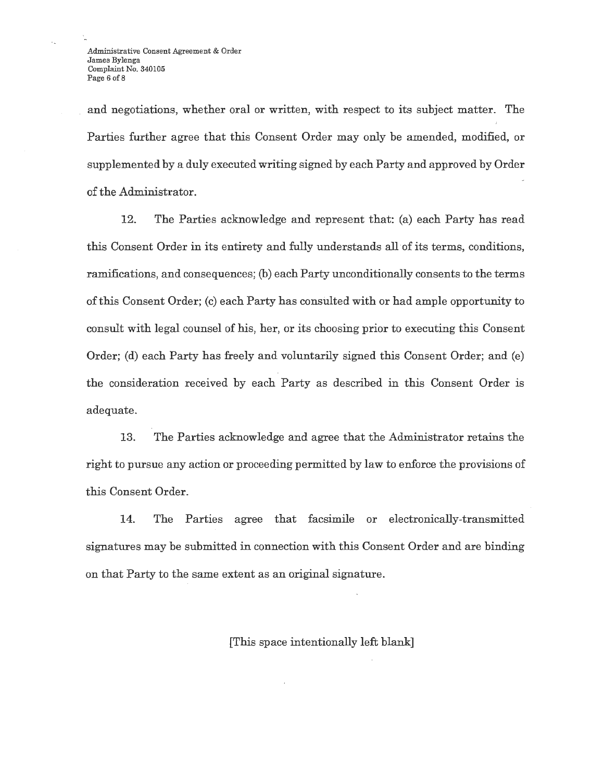and negotiations, whether oral or written, with respect to its subject matter. The Parties further agree that this Consent Order may only be amended, modified, or supplemented by a duly executed writing signed by each Party and approved by Order of the Administrator.

12. The Parties acknowledge and represent that: (a) each Party has read this Consent Order in its entirety and fully understands all of its terms, conditions, ramifications, and consequences; (b) each Party unconditionally consents to the terms of this Consent Order; (c) each Party has consulted with or had ample opportunity to consult with legal counsel of his, her, or its choosing prior to executing this Consent Order; (d) each Party has freely and voluntarily signed this Consent Order; and (e) the consideration received by each Party as described in this Consent Order is adequate.

13. The Parties acknowledge and agree that the Administrator retains the right to pursue any action or proceeding permitted by law to enforce the provisions of this Consent Order.

14. The Parties agree that facsimile or electronically-transmitted signatures may be submitted in connection with this Consent Order and are binding on that Party to the same extent as an original signature.

[This space intentionally left blank]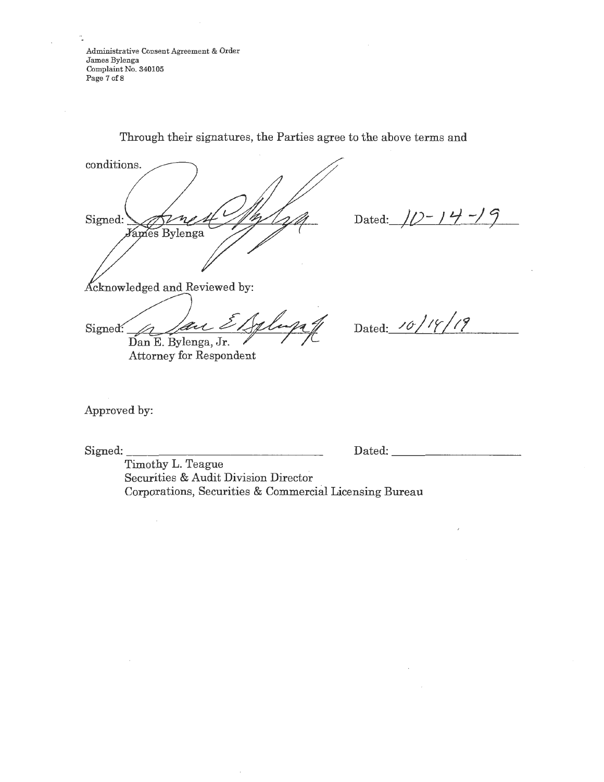Administrative Consent Agreement & Order James Bylenga Complaint No. 340105 Page 7 of 8

conditions. Signed: *James Bylenga* 

Dated:  $10 - 14 - 9$ 

 $\Delta$ cknowledged and Reviewed by:<br>Signed: A fait Effect Dan E. Bylenga, Jr.

Dated: <u>*/0/<sup>1</sup>//<sup>1</sup>/*</mark></u>

Attorney for Respondent

Approved by:

Signed:

Dated:

Timothy **L.** Teague Securities & Audit Division Director Corporations, Securities & Commercial Licensing Bureau

Through their signatures, the Parties agree to the above terms **and**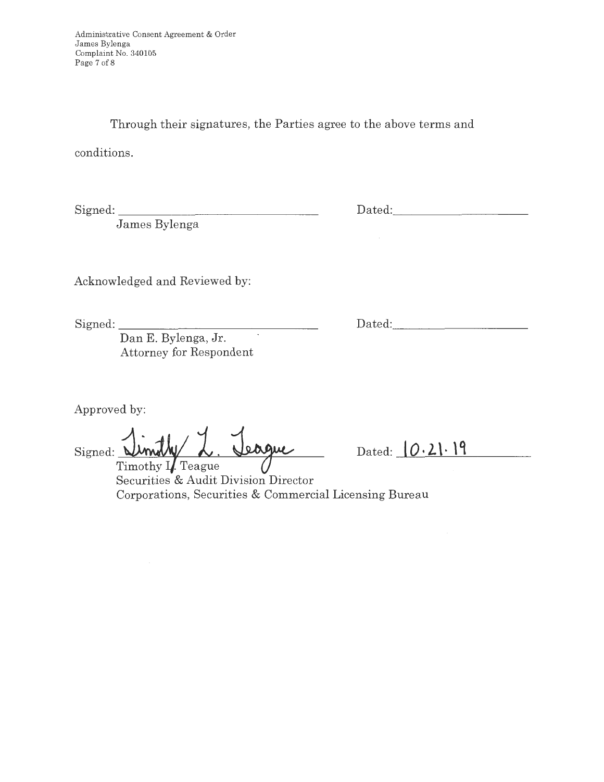Administrative Consent Agreement & Order James Bylenga Complaint No. 340105 Page 7 of 8

Through their signatures, the Parties agree to the above terms and

conditions.

Signed:

James Bylenga

Acknowledged and Reviewed by:

Signed:

Dan E. Bylenga, Jr. Attorney for Respondent

Approved by:

eague Signed: **WWWWWWWWWWWWW** 

Dated:  $0.21.19$ 

Securities & Audit Division Director Corporations, Securities & Commercial Licensing Bureau

Dated:

Dated: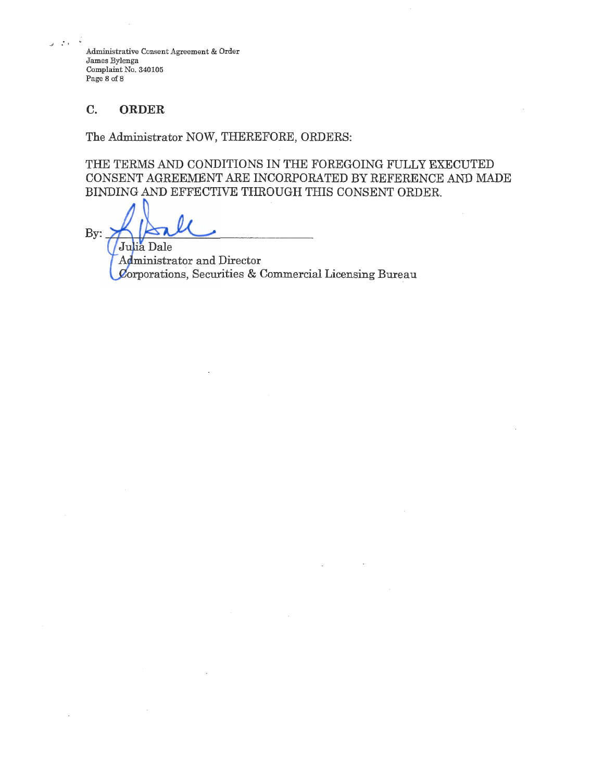Administrative Consent Agreement & Order James Bylenga Complaint No. 340105 Page 8 of 8

## **C. ORDER**

*-I* • '

The Administrator NOW, THEREFORE, ORDERS:

THE TERMS AND CONDITIONS IN THE FOREGOING FULLY EXECUTED CONSENT AGREEMENT ARE INCORPORATED BY REFERENCE AND MADE BINDING AND EFFECTIVE THROUGH THIS CONSENT ORDER.

By:

Julia Dale Administrator and Director  $C$ orporations, Securities & Commercial Licensing Bureau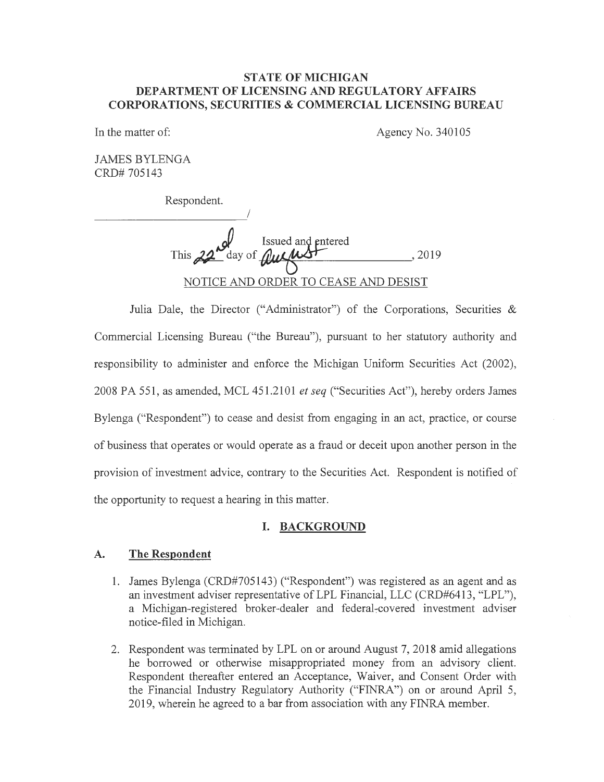#### **STATE OF MICHIGAN DEPARTMENT OF LICENSING AND REGULATORY AFFAIRS CORPORATIONS, SECURITIES & COMMERCIAL LICENSING BUREAU**

In the matter of:

Agency No. 340105

JAMES BYLENGA CRD# 705143

Respondent.

I *Q* issued and entered This  $22$  day of  $\mu \mu \mu \nu$   $\sim$ , 2019 NOTICE AND ORDER TO CEASE AND DESIST

Julia Dale, the Director ("Administrator") of the Corporations, Securities & Commercial Licensing Bureau ("the Bureau"), pursuant to her statutory authority and responsibility to administer and enforce the Michigan Uniform Securities Act (2002), 2008 PA 551, as amended, MCL 451.2101 *et seq* ("Securities Act"), hereby orders James Bylenga ("Respondent") to cease and desist from engaging in an act, practice, or course of business that operates or would operate as a fraud or deceit upon another person in the provision of investment advice, contrary to the Securities Act. Respondent is notified of the opportunity to request a hearing in this matter.

## **I. BACKGROUND**

## **A. The Respondent**

- 1. James Bylenga (CRD#705143) ("Respondent") was registered as an agent and as an investment adviser representative of LPL Financial, LLC (CRD#6413, "LPL"), a Michigan-registered broker-dealer and federal-covered investment adviser notice-filed in Michigan.
- 2. Respondent was terminated by LPL on or around August 7, 2018 amid allegations he borrowed or otherwise misappropriated money from an advisory client. Respondent thereafter entered an Acceptance, Waiver, and Consent Order with the Financial Industry Regulatory Authority ("FINRA") on or around April 5, 2019, wherein he agreed to a bar from association with any FINRA member.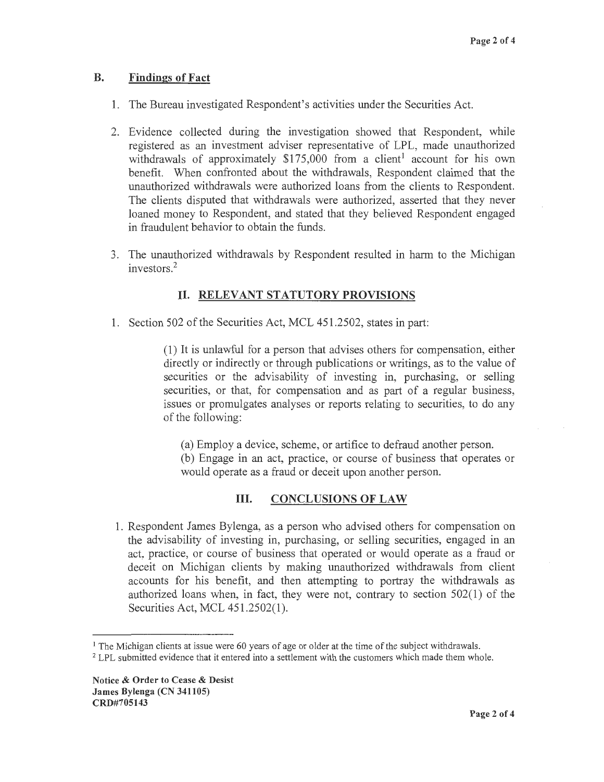## **B. Findings of Fact**

- 1. The Bureau investigated Respondent's activities under the Securities Act.
- 2. Evidence collected during the investigation showed that Respondent, while registered as an investment adviser representative of LPL, made unauthorized withdrawals of approximately  $$175,000$  from a client<sup>1</sup> account for his own benefit. When confronted about the withdrawals, Respondent claimed that the unauthorized withdrawals were authorized loans from the clients to Respondent. The clients disputed that withdrawals were authorized, asserted that they never loaned money to Respondent, and stated that they believed Respondent engaged in fraudulent behavior to obtain the funds.
- 3. The unauthorized withdrawals by Respondent resulted in harm to the Michigan investors. 2

## II. **RELEVANT STATUTORY PROVISIONS**

1. Section 502 of the Securities Act, MCL 451.2502, states in part:

( 1) It is unlawful for a person that advises others for compensation, either directly or indirectly or through publications or writings, as to the value of securities or the advisability of investing in, purchasing, or selling securities, or that, for compensation and as part of a regular business, issues or promulgates analyses or reports relating to securities, to do any of the following:

(a) Employ a device, scheme, or artifice to defraud another person. (b) Engage in an act, practice, or course of business that operates or would operate as a fraud or deceit upon another person.

# III. **CONCLUSIONS OF LAW**

1. Respondent James Bylenga, as a person who advised others for compensation on the advisability of investing in, purchasing, or selling securities, engaged in an act, practice, or course of business that operated or would operate as a fraud or deceit on Michigan clients by making unauthorized withdrawals from client accounts for his benefit, and then attempting to portray the withdrawals as authorized loans when, in fact, they were not, contrary to section 502(1) of the Securities Act, MCL 451.2502(1).

<sup>&</sup>lt;sup>1</sup> The Michigan clients at issue were 60 years of age or older at the time of the subject withdrawals.

<sup>&</sup>lt;sup>2</sup> LPL submitted evidence that it entered into a settlement with the customers which made them whole.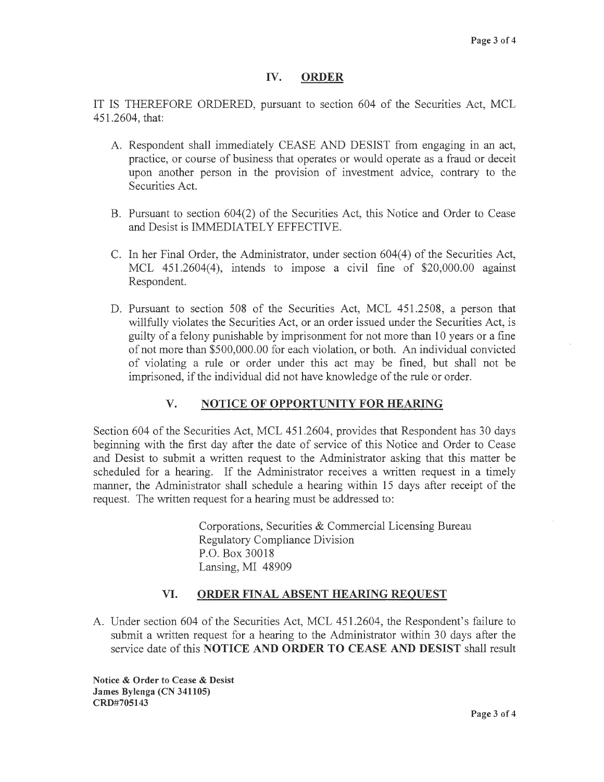## **IV. ORDER**

IT IS THEREFORE ORDERED, pursuant to section 604 of the Securities Act, MCL 451.2604, that:

- A. Respondent shall immediately CEASE AND DESIST from engaging in an act, practice, or course of business that operates or would operate as a fraud or deceit upon another person in the provision of investment advice, contrary to the Securities Act.
- B. Pursuant to section 604(2) of the Securities Act, this Notice and Order to Cease and Desist is IMMEDIATELY EFFECTIVE.
- C. In her Final Order, the Administrator, under section  $604(4)$  of the Securities Act, MCL 451.2604(4), intends to impose a civil fine of \$20,000.00 against Respondent.
- D. Pursuant to section 508 of the Securities Act, MCL 451.2508, a person that willfully violates the Securities Act, or an order issued under the Securities Act, is guilty of a felony punishable by imprisonment for not more than 10 years or a fine of not more than \$500,000.00 for each violation, or both. An individual convicted of violating a rule or order under this act may be fined, but shall not be imprisoned, if the individual did not have knowledge of the rule or order.

## **V. NOTICE OF OPPORTUNITY FOR HEARING**

Section 604 of the Securities Act, MCL 451.2604, provides that Respondent has 30 days beginning with the first day after the date of service of this Notice and Order to Cease and Desist to submit a written request to the Administrator asking that this matter be scheduled for a hearing. If the Administrator receives a written request in a timely manner, the Administrator shall schedule a hearing within 15 days after receipt of the request. The written request for a hearing must be addressed to:

> Corporations, Securities & Commercial Licensing Bureau Regulatory Compliance Division P.O. Box 30018 Lansing, MI 48909

## **VI. ORDER FINAL ABSENT HEARING REQUEST**

A. Under section 604 of the Securities Act, MCL 451.2604, the Respondent's failure to submit a written request for a hearing to the Administrator within 30 days after the service date of this **NOTICE AND ORDER TO CEASE AND DESIST** shall result

**Notice** & **Order to Cease** & **Desist James Bylenga (CN 341105) CRD#705143**